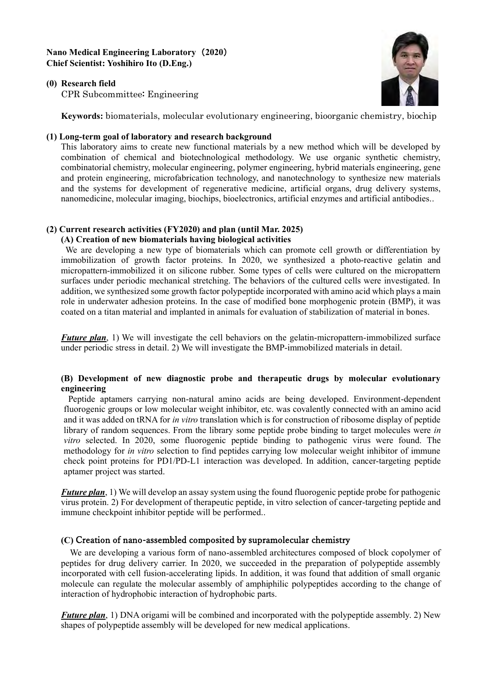## **Nano Medical Engineering Laboratory** (**2020**) **Chief Scientist: Yoshihiro Ito (D.Eng.)**





CPR Subcommittee: Engineering

**Keywords:** biomaterials, molecular evolutionary engineering, bioorganic chemistry, biochip

#### **(1) Long-term goal of laboratory and research background**

This laboratory aims to create new functional materials by a new method which will be developed by combination of chemical and biotechnological methodology. We use organic synthetic chemistry, combinatorial chemistry, molecular engineering, polymer engineering, hybrid materials engineering, gene and protein engineering, microfabrication technology, and nanotechnology to synthesize new materials and the systems for development of regenerative medicine, artificial organs, drug delivery systems, nanomedicine, molecular imaging, biochips, bioelectronics, artificial enzymes and artificial antibodies..

# **(2) Current research activities (FY2020) and plan (until Mar. 2025)**

## **(A) Creation of new biomaterials having biological activities**

We are developing a new type of biomaterials which can promote cell growth or differentiation by immobilization of growth factor proteins. In 2020, we synthesized a photo-reactive gelatin and micropattern-immobilized it on silicone rubber. Some types of cells were cultured on the micropattern surfaces under periodic mechanical stretching. The behaviors of the cultured cells were investigated. In addition, we synthesized some growth factor polypeptide incorporated with amino acid which plays a main role in underwater adhesion proteins. In the case of modified bone morphogenic protein (BMP), it was coated on a titan material and implanted in animals for evaluation of stabilization of material in bones.

*Future plan*, 1) We will investigate the cell behaviors on the gelatin-micropattern-immobilized surface under periodic stress in detail. 2) We will investigate the BMP-immobilized materials in detail.

## **(B) Development of new diagnostic probe and therapeutic drugs by molecular evolutionary engineering**

Peptide aptamers carrying non-natural amino acids are being developed. Environment-dependent fluorogenic groups or low molecular weight inhibitor, etc. was covalently connected with an amino acid and it was added on tRNA for *in vitro* translation which is for construction of ribosome display of peptide library of random sequences. From the library some peptide probe binding to target molecules were *in vitro* selected. In 2020, some fluorogenic peptide binding to pathogenic virus were found. The methodology for *in vitro* selection to find peptides carrying low molecular weight inhibitor of immune check point proteins for PD1/PD-L1 interaction was developed. In addition, cancer-targeting peptide aptamer project was started.

*Future plan*, 1) We will develop an assay system using the found fluorogenic peptide probe for pathogenic virus protein. 2) For development of therapeutic peptide, in vitro selection of cancer-targeting peptide and immune checkpoint inhibitor peptide will be performed..

# **(C)** Creation of nano-assembled composited by supramolecular chemistry

We are developing a various form of nano-assembled architectures composed of block copolymer of peptides for drug delivery carrier. In 2020, we succeeded in the preparation of polypeptide assembly incorporated with cell fusion-accelerating lipids. In addition, it was found that addition of small organic molecule can regulate the molecular assembly of amphiphilic polypeptides according to the change of interaction of hydrophobic interaction of hydrophobic parts.

*Future plan*, 1) DNA origami will be combined and incorporated with the polypeptide assembly. 2) New shapes of polypeptide assembly will be developed for new medical applications.